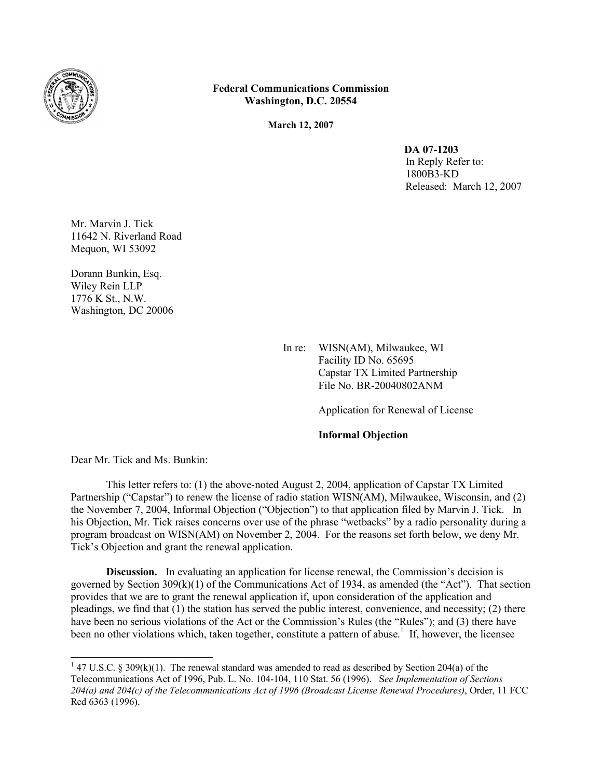

## **Federal Communications Commission Washington, D.C. 20554**

**March 12, 2007**

**DA 07-1203** In Reply Refer to: 1800B3-KD Released: March 12, 2007

Mr. Marvin J. Tick 11642 N. Riverland Road Mequon, WI 53092

Dorann Bunkin, Esq. Wiley Rein LLP 1776 K St., N.W. Washington, DC 20006

> In re: WISN(AM), Milwaukee, WI Facility ID No. 65695 Capstar TX Limited Partnership File No. BR-20040802ANM

> > Application for Renewal of License

## **Informal Objection**

Dear Mr. Tick and Ms. Bunkin:

This letter refers to: (1) the above-noted August 2, 2004, application of Capstar TX Limited Partnership ("Capstar") to renew the license of radio station WISN(AM), Milwaukee, Wisconsin, and (2) the November 7, 2004, Informal Objection ("Objection") to that application filed by Marvin J. Tick. In his Objection, Mr. Tick raises concerns over use of the phrase "wetbacks" by a radio personality during a program broadcast on WISN(AM) on November 2, 2004. For the reasons set forth below, we deny Mr. Tick's Objection and grant the renewal application.

**Discussion.** In evaluating an application for license renewal, the Commission's decision is governed by Section 309(k)(1) of the Communications Act of 1934, as amended (the "Act"). That section provides that we are to grant the renewal application if, upon consideration of the application and pleadings, we find that  $(1)$  the station has served the public interest, convenience, and necessity;  $(2)$  there have been no serious violations of the Act or the Commission's Rules (the "Rules"); and (3) there have been no other violations which, taken together, constitute a pattern of abuse.<sup>1</sup> If, however, the licensee

<sup>&</sup>lt;sup>1</sup> 47 U.S.C. § 309(k)(1). The renewal standard was amended to read as described by Section 204(a) of the Telecommunications Act of 1996, Pub. L. No. 104-104, 110 Stat. 56 (1996). S*ee Implementation of Sections 204(a) and 204(c) of the Telecommunications Act of 1996 (Broadcast License Renewal Procedures)*, Order, 11 FCC Rcd 6363 (1996).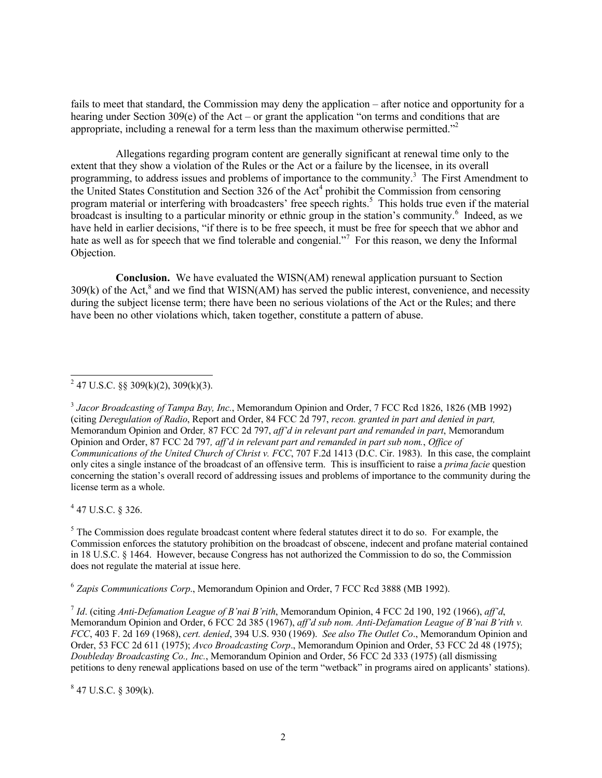fails to meet that standard, the Commission may deny the application – after notice and opportunity for a hearing under Section 309(e) of the Act – or grant the application "on terms and conditions that are appropriate, including a renewal for a term less than the maximum otherwise permitted."<sup>2</sup>

Allegations regarding program content are generally significant at renewal time only to the extent that they show a violation of the Rules or the Act or a failure by the licensee, in its overall programming, to address issues and problems of importance to the community.<sup>3</sup> The First Amendment to the United States Constitution and Section 326 of the Act<sup>4</sup> prohibit the Commission from censoring program material or interfering with broadcasters' free speech rights.<sup>5</sup> This holds true even if the material broadcast is insulting to a particular minority or ethnic group in the station's community.<sup>6</sup> Indeed, as we have held in earlier decisions, "if there is to be free speech, it must be free for speech that we abhor and hate as well as for speech that we find tolerable and congenial."<sup>7</sup> For this reason, we deny the Informal Objection.

**Conclusion.** We have evaluated the WISN(AM) renewal application pursuant to Section  $309(k)$  of the Act,<sup>8</sup> and we find that WISN(AM) has served the public interest, convenience, and necessity during the subject license term; there have been no serious violations of the Act or the Rules; and there have been no other violations which, taken together, constitute a pattern of abuse.

 $4$  47 U.S.C. § 326.

 $<sup>5</sup>$  The Commission does regulate broadcast content where federal statutes direct it to do so. For example, the</sup> Commission enforces the statutory prohibition on the broadcast of obscene, indecent and profane material contained in 18 U.S.C. § 1464. However, because Congress has not authorized the Commission to do so, the Commission does not regulate the material at issue here.

6 *Zapis Communications Corp*., Memorandum Opinion and Order, 7 FCC Rcd 3888 (MB 1992).

7 *Id*. (citing *Anti-Defamation League of B'nai B'rith*, Memorandum Opinion, 4 FCC 2d 190, 192 (1966), *aff'd*, Memorandum Opinion and Order, 6 FCC 2d 385 (1967), *aff'd sub nom. Anti-Defamation League of B'nai B'rith v. FCC*, 403 F. 2d 169 (1968), *cert. denied*, 394 U.S. 930 (1969). *See also The Outlet Co*., Memorandum Opinion and Order, 53 FCC 2d 611 (1975); *Avco Broadcasting Corp*., Memorandum Opinion and Order, 53 FCC 2d 48 (1975); *Doubleday Broadcasting Co., Inc.*, Memorandum Opinion and Order, 56 FCC 2d 333 (1975) (all dismissing petitions to deny renewal applications based on use of the term "wetback" in programs aired on applicants' stations).

 $847$  U.S.C. § 309(k).

<sup>&</sup>lt;sup>2</sup> 47 U.S.C. §§ 309(k)(2), 309(k)(3).

<sup>&</sup>lt;sup>3</sup> Jacor Broadcasting of Tampa Bay, Inc., Memorandum Opinion and Order, 7 FCC Rcd 1826, 1826 (MB 1992) (citing *Deregulation of Radio*, Report and Order, 84 FCC 2d 797, *recon. granted in part and denied in part,*  Memorandum Opinion and Order*,* 87 FCC 2d 797, *aff'd in relevant part and remanded in part*, Memorandum Opinion and Order, 87 FCC 2d 797*, aff'd in relevant part and remanded in part sub nom.*, *Office of Communications of the United Church of Christ v. FCC*, 707 F.2d 1413 (D.C. Cir. 1983). In this case, the complaint only cites a single instance of the broadcast of an offensive term. This is insufficient to raise a *prima facie* question concerning the station's overall record of addressing issues and problems of importance to the community during the license term as a whole.